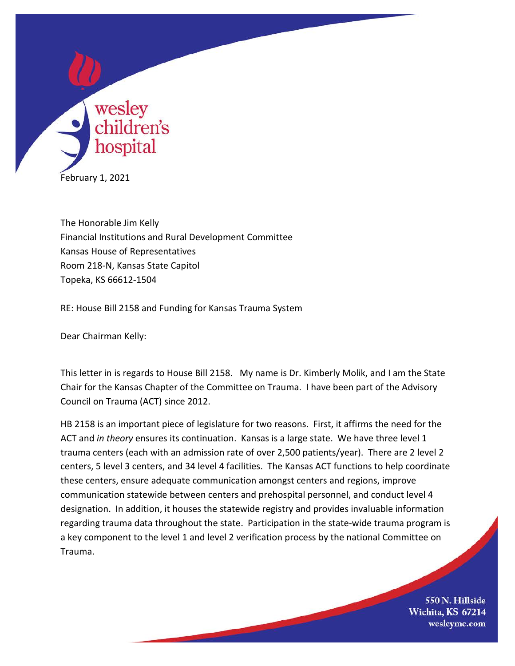

The Honorable Jim Kelly Financial Institutions and Rural Development Committee Kansas House of Representatives Room 218-N, Kansas State Capitol Topeka, KS 66612-1504

RE: House Bill 2158 and Funding for Kansas Trauma System

Dear Chairman Kelly:

This letter in is regards to House Bill 2158. My name is Dr. Kimberly Molik, and I am the State Chair for the Kansas Chapter of the Committee on Trauma. I have been part of the Advisory Council on Trauma (ACT) since 2012.

HB 2158 is an important piece of legislature for two reasons. First, it affirms the need for the ACT and *in theory* ensures its continuation. Kansas is a large state. We have three level 1 trauma centers (each with an admission rate of over 2,500 patients/year). There are 2 level 2 centers, 5 level 3 centers, and 34 level 4 facilities. The Kansas ACT functions to help coordinate these centers, ensure adequate communication amongst centers and regions, improve communication statewide between centers and prehospital personnel, and conduct level 4 designation. In addition, it houses the statewide registry and provides invaluable information regarding trauma data throughout the state. Participation in the state-wide trauma program is a key component to the level 1 and level 2 verification process by the national Committee on Trauma.

> 550 N. Hillside Wichita, KS 67214 wesleymc.com